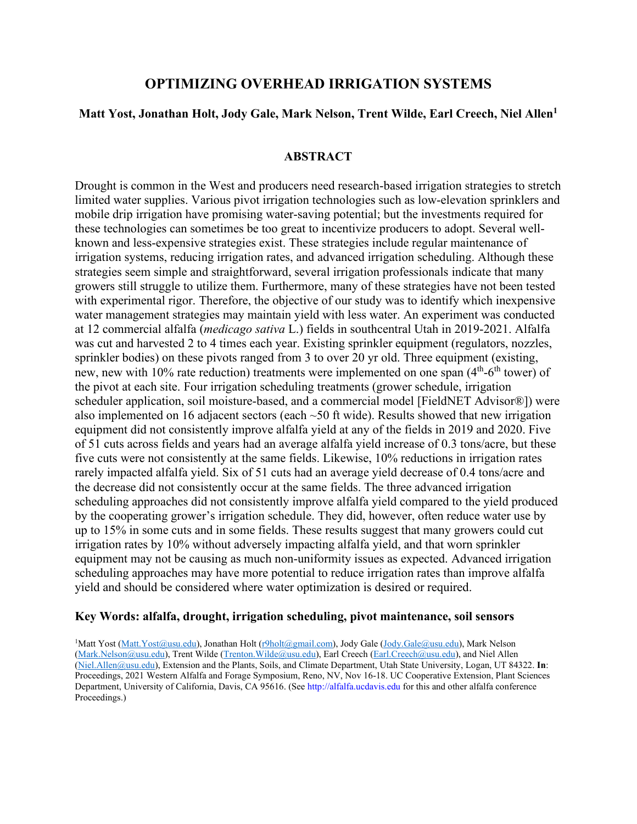# **OPTIMIZING OVERHEAD IRRIGATION SYSTEMS**

## **Matt Yost, Jonathan Holt, Jody Gale, Mark Nelson, Trent Wilde, Earl Creech, Niel Allen1**

### **ABSTRACT**

Drought is common in the West and producers need research-based irrigation strategies to stretch limited water supplies. Various pivot irrigation technologies such as low-elevation sprinklers and mobile drip irrigation have promising water-saving potential; but the investments required for these technologies can sometimes be too great to incentivize producers to adopt. Several wellknown and less-expensive strategies exist. These strategies include regular maintenance of irrigation systems, reducing irrigation rates, and advanced irrigation scheduling. Although these strategies seem simple and straightforward, several irrigation professionals indicate that many growers still struggle to utilize them. Furthermore, many of these strategies have not been tested with experimental rigor. Therefore, the objective of our study was to identify which inexpensive water management strategies may maintain yield with less water. An experiment was conducted at 12 commercial alfalfa (*medicago sativa* L.) fields in southcentral Utah in 2019-2021. Alfalfa was cut and harvested 2 to 4 times each year. Existing sprinkler equipment (regulators, nozzles, sprinkler bodies) on these pivots ranged from 3 to over 20 yr old. Three equipment (existing, new, new with 10% rate reduction) treatments were implemented on one span  $(4<sup>th</sup>-6<sup>th</sup>$  tower) of the pivot at each site. Four irrigation scheduling treatments (grower schedule, irrigation scheduler application, soil moisture-based, and a commercial model [FieldNET Advisor®]) were also implemented on 16 adjacent sectors (each  $\sim$  50 ft wide). Results showed that new irrigation equipment did not consistently improve alfalfa yield at any of the fields in 2019 and 2020. Five of 51 cuts across fields and years had an average alfalfa yield increase of 0.3 tons/acre, but these five cuts were not consistently at the same fields. Likewise, 10% reductions in irrigation rates rarely impacted alfalfa yield. Six of 51 cuts had an average yield decrease of 0.4 tons/acre and the decrease did not consistently occur at the same fields. The three advanced irrigation scheduling approaches did not consistently improve alfalfa yield compared to the yield produced by the cooperating grower's irrigation schedule. They did, however, often reduce water use by up to 15% in some cuts and in some fields. These results suggest that many growers could cut irrigation rates by 10% without adversely impacting alfalfa yield, and that worn sprinkler equipment may not be causing as much non-uniformity issues as expected. Advanced irrigation scheduling approaches may have more potential to reduce irrigation rates than improve alfalfa yield and should be considered where water optimization is desired or required.

### **Key Words: alfalfa, drought, irrigation scheduling, pivot maintenance, soil sensors**

<sup>1</sup>Matt Yost [\(Matt.Yost@usu.edu\)](mailto:Matt.Yost@usu.edu), Jonathan Holt [\(r9holt@gmail.com\)](mailto:r9holt@gmail.com), Jody Gale [\(Jody.Gale@usu.edu\)](mailto:Jody.Gale@usu.edu), Mark Nelson [\(Mark.Nelson@usu.edu\)](mailto:Mark.Nelson@usu.edu), Trent Wilde [\(Trenton.Wilde@usu.edu\)](mailto:Trenton.Wilde@usu.edu), Earl Creech [\(Earl.Creech@usu.edu\)](mailto:Earl.Creech@usu.edu), and Niel Allen [\(Niel.Allen@usu.edu\)](mailto:Niel.Allen@usu.edu), Extension and the Plants, Soils, and Climate Department, Utah State University, Logan, UT 84322. **In**: Proceedings, 2021 Western Alfalfa and Forage Symposium, Reno, NV, Nov 16-18. UC Cooperative Extension, Plant Sciences Department, University of California, Davis, CA 95616. (See http://alfalfa.ucdavis.edu for this and other alfalfa conference Proceedings.)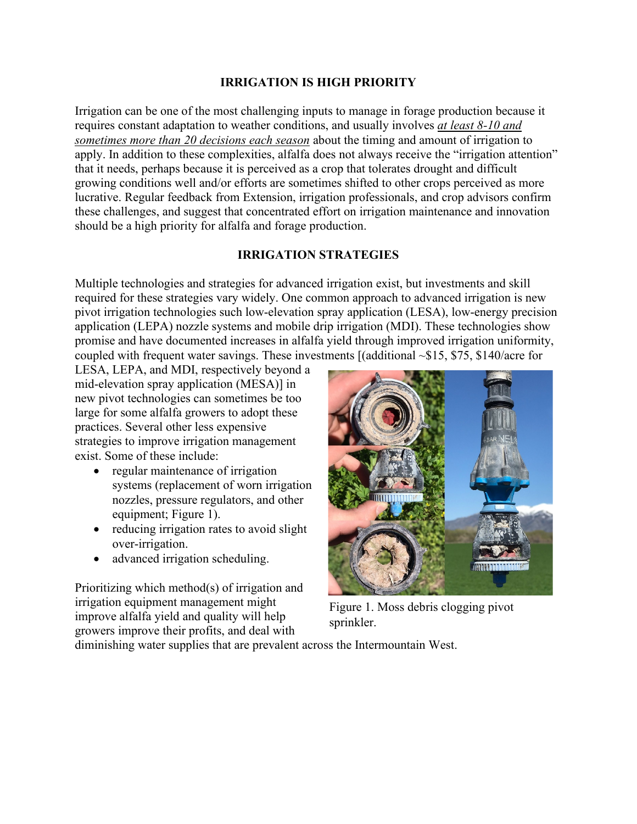# **IRRIGATION IS HIGH PRIORITY**

Irrigation can be one of the most challenging inputs to manage in forage production because it requires constant adaptation to weather conditions, and usually involves *at least 8-10 and sometimes more than 20 decisions each season* about the timing and amount of irrigation to apply. In addition to these complexities, alfalfa does not always receive the "irrigation attention" that it needs, perhaps because it is perceived as a crop that tolerates drought and difficult growing conditions well and/or efforts are sometimes shifted to other crops perceived as more lucrative. Regular feedback from Extension, irrigation professionals, and crop advisors confirm these challenges, and suggest that concentrated effort on irrigation maintenance and innovation should be a high priority for alfalfa and forage production.

# **IRRIGATION STRATEGIES**

Multiple technologies and strategies for advanced irrigation exist, but investments and skill required for these strategies vary widely. One common approach to advanced irrigation is new pivot irrigation technologies such low-elevation spray application (LESA), low-energy precision application (LEPA) nozzle systems and mobile drip irrigation (MDI). These technologies show promise and have documented increases in alfalfa yield through improved irrigation uniformity, coupled with frequent water savings. These investments [(additional ~\$15, \$75, \$140/acre for

LESA, LEPA, and MDI, respectively beyond a mid-elevation spray application (MESA)] in new pivot technologies can sometimes be too large for some alfalfa growers to adopt these practices. Several other less expensive strategies to improve irrigation management exist. Some of these include:

- regular maintenance of irrigation systems (replacement of worn irrigation nozzles, pressure regulators, and other equipment; Figure 1).
- reducing irrigation rates to avoid slight over-irrigation.
- advanced irrigation scheduling.

Prioritizing which method(s) of irrigation and irrigation equipment management might improve alfalfa yield and quality will help growers improve their profits, and deal with



Figure 1. Moss debris clogging pivot sprinkler.

diminishing water supplies that are prevalent across the Intermountain West.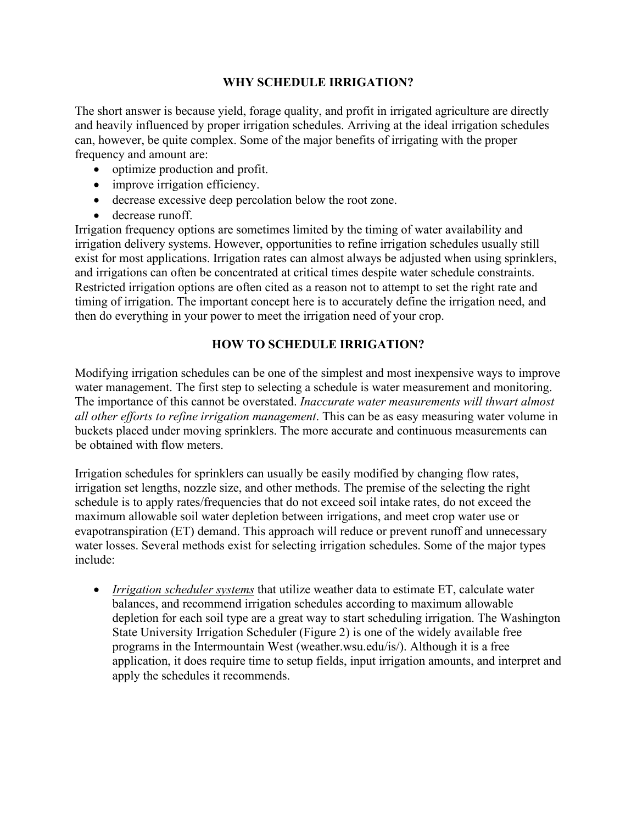# **WHY SCHEDULE IRRIGATION?**

The short answer is because yield, forage quality, and profit in irrigated agriculture are directly and heavily influenced by proper irrigation schedules. Arriving at the ideal irrigation schedules can, however, be quite complex. Some of the major benefits of irrigating with the proper frequency and amount are:

- optimize production and profit.
- improve irrigation efficiency.
- decrease excessive deep percolation below the root zone.
- decrease runoff.

Irrigation frequency options are sometimes limited by the timing of water availability and irrigation delivery systems. However, opportunities to refine irrigation schedules usually still exist for most applications. Irrigation rates can almost always be adjusted when using sprinklers, and irrigations can often be concentrated at critical times despite water schedule constraints. Restricted irrigation options are often cited as a reason not to attempt to set the right rate and timing of irrigation. The important concept here is to accurately define the irrigation need, and then do everything in your power to meet the irrigation need of your crop.

# **HOW TO SCHEDULE IRRIGATION?**

Modifying irrigation schedules can be one of the simplest and most inexpensive ways to improve water management. The first step to selecting a schedule is water measurement and monitoring. The importance of this cannot be overstated. *Inaccurate water measurements will thwart almost all other efforts to refine irrigation management*. This can be as easy measuring water volume in buckets placed under moving sprinklers. The more accurate and continuous measurements can be obtained with flow meters.

Irrigation schedules for sprinklers can usually be easily modified by changing flow rates, irrigation set lengths, nozzle size, and other methods. The premise of the selecting the right schedule is to apply rates/frequencies that do not exceed soil intake rates, do not exceed the maximum allowable soil water depletion between irrigations, and meet crop water use or evapotranspiration (ET) demand. This approach will reduce or prevent runoff and unnecessary water losses. Several methods exist for selecting irrigation schedules. Some of the major types include:

• *Irrigation scheduler systems* that utilize weather data to estimate ET, calculate water balances, and recommend irrigation schedules according to maximum allowable depletion for each soil type are a great way to start scheduling irrigation. The Washington State University Irrigation Scheduler (Figure 2) is one of the widely available free programs in the Intermountain West (weather.wsu.edu/is/). Although it is a free application, it does require time to setup fields, input irrigation amounts, and interpret and apply the schedules it recommends.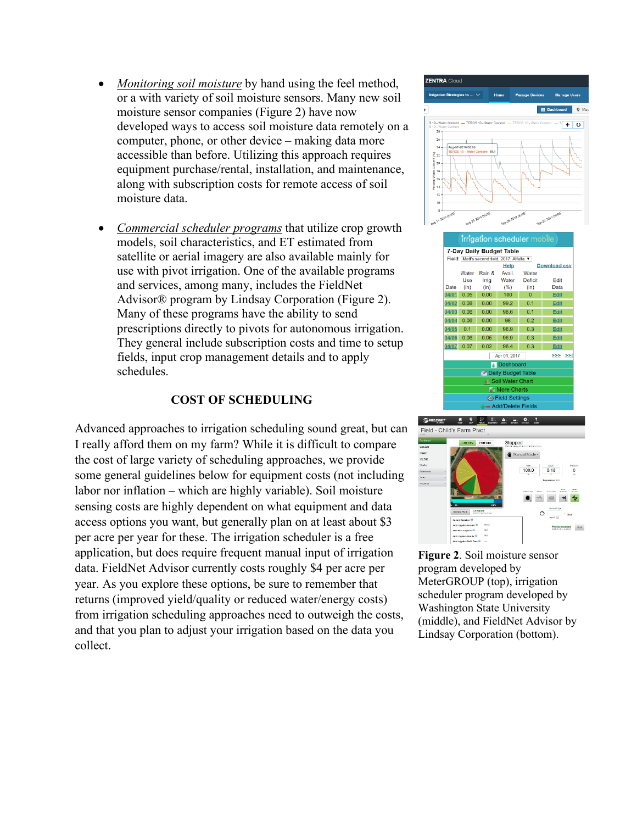- *Monitoring soil moisture* by hand using the feel method, or a with variety of soil moisture sensors. Many new soil moisture sensor companies (Figure 2) have now developed ways to access soil moisture data remotely on a computer, phone, or other device – making data more accessible than before. Utilizing this approach requires equipment purchase/rental, installation, and maintenance, along with subscription costs for remote access of soil moisture data.
- *Commercial scheduler programs* that utilize crop growth models, soil characteristics, and ET estimated from satellite or aerial imagery are also available mainly for use with pivot irrigation. One of the available programs and services, among many, includes the FieldNet Advisor® program by Lindsay Corporation (Figure 2). Many of these programs have the ability to send prescriptions directly to pivots for autonomous irrigation. They general include subscription costs and time to setup fields, input crop management details and to apply schedules.

# **COST OF SCHEDULING**

Advanced approaches to irrigation scheduling sound great, but can I really afford them on my farm? While it is difficult to compare the cost of large variety of scheduling approaches, we provide some general guidelines below for equipment costs (not including labor nor inflation – which are highly variable). Soil moisture sensing costs are highly dependent on what equipment and data access options you want, but generally plan on at least about \$3 per acre per year for these. The irrigation scheduler is a free application, but does require frequent manual input of irrigation data. FieldNet Advisor currently costs roughly \$4 per acre per year. As you explore these options, be sure to remember that returns (improved yield/quality or reduced water/energy costs) from irrigation scheduling approaches need to outweigh the costs, and that you plan to adjust your irrigation based on the data you collect.



**Figure 2**. Soil moisture sensor program developed by MeterGROUP (top), irrigation scheduler program developed by Washington State University (middle), and FieldNet Advisor by Lindsay Corporation (bottom).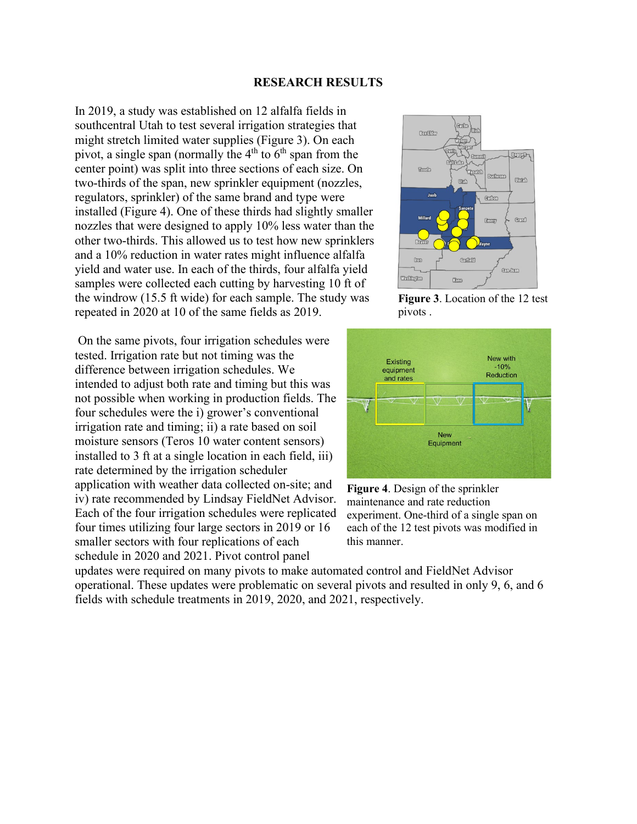#### **RESEARCH RESULTS**

In 2019, a study was established on 12 alfalfa fields in southcentral Utah to test several irrigation strategies that might stretch limited water supplies (Figure 3). On each pivot, a single span (normally the  $4<sup>th</sup>$  to  $6<sup>th</sup>$  span from the center point) was split into three sections of each size. On two-thirds of the span, new sprinkler equipment (nozzles, regulators, sprinkler) of the same brand and type were installed (Figure 4). One of these thirds had slightly smaller nozzles that were designed to apply 10% less water than the other two-thirds. This allowed us to test how new sprinklers and a 10% reduction in water rates might influence alfalfa yield and water use. In each of the thirds, four alfalfa yield samples were collected each cutting by harvesting 10 ft of the windrow (15.5 ft wide) for each sample. The study was repeated in 2020 at 10 of the same fields as 2019.

On the same pivots, four irrigation schedules were tested. Irrigation rate but not timing was the difference between irrigation schedules. We intended to adjust both rate and timing but this was not possible when working in production fields. The four schedules were the i) grower's conventional irrigation rate and timing; ii) a rate based on soil moisture sensors (Teros 10 water content sensors) installed to 3 ft at a single location in each field, iii) rate determined by the irrigation scheduler application with weather data collected on-site; and iv) rate recommended by Lindsay FieldNet Advisor. Each of the four irrigation schedules were replicated four times utilizing four large sectors in 2019 or 16 smaller sectors with four replications of each schedule in 2020 and 2021. Pivot control panel



**Figure 3**. Location of the 12 test pivots .



**Figure 4**. Design of the sprinkler maintenance and rate reduction experiment. One-third of a single span on each of the 12 test pivots was modified in this manner.

updates were required on many pivots to make automated control and FieldNet Advisor operational. These updates were problematic on several pivots and resulted in only 9, 6, and 6 fields with schedule treatments in 2019, 2020, and 2021, respectively.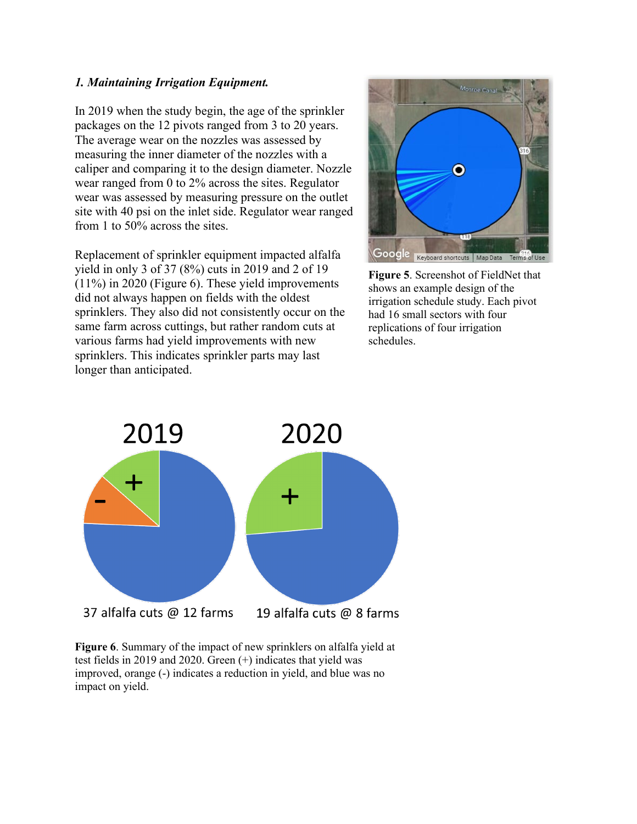## *1. Maintaining Irrigation Equipment.*

In 2019 when the study begin, the age of the sprinkler packages on the 12 pivots ranged from 3 to 20 years. The average wear on the nozzles was assessed by measuring the inner diameter of the nozzles with a caliper and comparing it to the design diameter. Nozzle wear ranged from 0 to 2% across the sites. Regulator wear was assessed by measuring pressure on the outlet site with 40 psi on the inlet side. Regulator wear ranged from 1 to 50% across the sites.

Replacement of sprinkler equipment impacted alfalfa yield in only 3 of 37 (8%) cuts in 2019 and 2 of 19 (11%) in 2020 (Figure 6). These yield improvements did not always happen on fields with the oldest sprinklers. They also did not consistently occur on the same farm across cuttings, but rather random cuts at various farms had yield improvements with new sprinklers. This indicates sprinkler parts may last longer than anticipated.



**Figure 5**. Screenshot of FieldNet that shows an example design of the irrigation schedule study. Each pivot had 16 small sectors with four replications of four irrigation schedules.



**Figure 6**. Summary of the impact of new sprinklers on alfalfa yield at test fields in 2019 and 2020. Green (+) indicates that yield was improved, orange (-) indicates a reduction in yield, and blue was no impact on yield.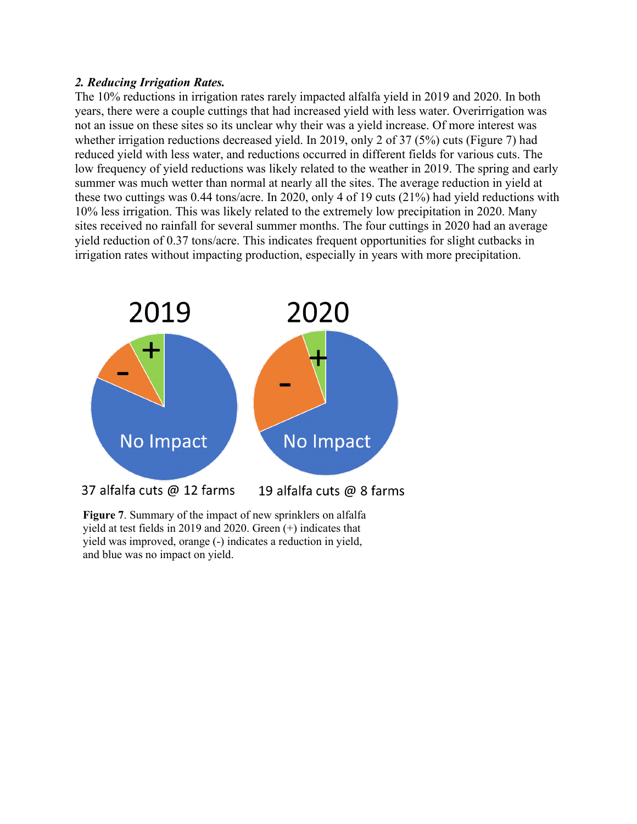## *2. Reducing Irrigation Rates.*

The 10% reductions in irrigation rates rarely impacted alfalfa yield in 2019 and 2020. In both years, there were a couple cuttings that had increased yield with less water. Overirrigation was not an issue on these sites so its unclear why their was a yield increase. Of more interest was whether irrigation reductions decreased yield. In 2019, only 2 of 37 (5%) cuts (Figure 7) had reduced yield with less water, and reductions occurred in different fields for various cuts. The low frequency of yield reductions was likely related to the weather in 2019. The spring and early summer was much wetter than normal at nearly all the sites. The average reduction in yield at these two cuttings was 0.44 tons/acre. In 2020, only 4 of 19 cuts (21%) had yield reductions with 10% less irrigation. This was likely related to the extremely low precipitation in 2020. Many sites received no rainfall for several summer months. The four cuttings in 2020 had an average yield reduction of 0.37 tons/acre. This indicates frequent opportunities for slight cutbacks in irrigation rates without impacting production, especially in years with more precipitation.



**Figure 7**. Summary of the impact of new sprinklers on alfalfa yield at test fields in 2019 and 2020. Green (+) indicates that yield was improved, orange (-) indicates a reduction in yield, and blue was no impact on yield.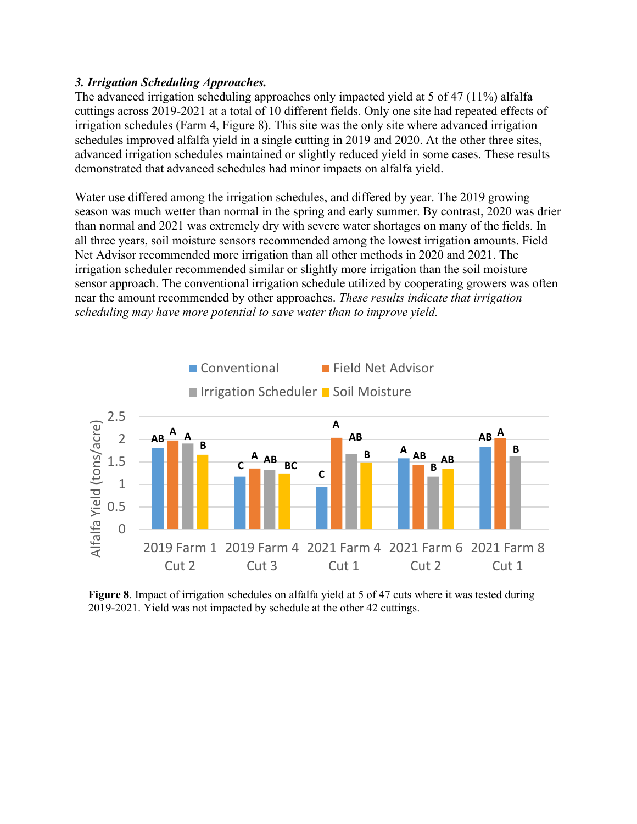## *3. Irrigation Scheduling Approaches.*

The advanced irrigation scheduling approaches only impacted yield at 5 of 47 (11%) alfalfa cuttings across 2019-2021 at a total of 10 different fields. Only one site had repeated effects of irrigation schedules (Farm 4, Figure 8). This site was the only site where advanced irrigation schedules improved alfalfa yield in a single cutting in 2019 and 2020. At the other three sites, advanced irrigation schedules maintained or slightly reduced yield in some cases. These results demonstrated that advanced schedules had minor impacts on alfalfa yield.

Water use differed among the irrigation schedules, and differed by year. The 2019 growing season was much wetter than normal in the spring and early summer. By contrast, 2020 was drier than normal and 2021 was extremely dry with severe water shortages on many of the fields. In all three years, soil moisture sensors recommended among the lowest irrigation amounts. Field Net Advisor recommended more irrigation than all other methods in 2020 and 2021. The irrigation scheduler recommended similar or slightly more irrigation than the soil moisture sensor approach. The conventional irrigation schedule utilized by cooperating growers was often near the amount recommended by other approaches. *These results indicate that irrigation scheduling may have more potential to save water than to improve yield.*



**Figure 8**. Impact of irrigation schedules on alfalfa yield at 5 of 47 cuts where it was tested during 2019-2021. Yield was not impacted by schedule at the other 42 cuttings.